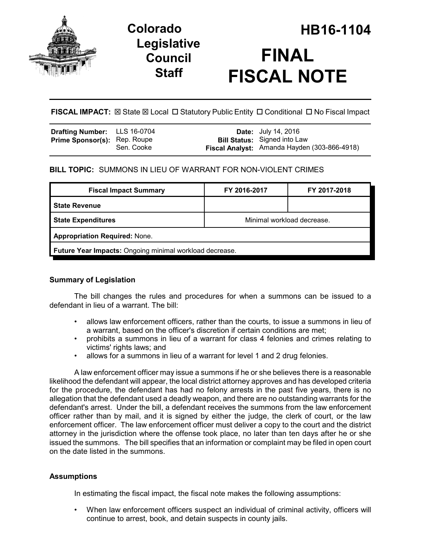

## **Legislative Council Staff**

# **Colorado HB16-1104 FINAL FISCAL NOTE**

**FISCAL IMPACT:** ⊠ State ⊠ Local □ Statutory Public Entity □ Conditional □ No Fiscal Impact

| Drafting Number: LLS 16-0704        |            | <b>Date:</b> July 14, 2016                                                          |
|-------------------------------------|------------|-------------------------------------------------------------------------------------|
| <b>Prime Sponsor(s): Rep. Roupe</b> | Sen. Cooke | <b>Bill Status:</b> Signed into Law<br>Fiscal Analyst: Amanda Hayden (303-866-4918) |

## **BILL TOPIC:** SUMMONS IN LIEU OF WARRANT FOR NON-VIOLENT CRIMES

| <b>Fiscal Impact Summary</b>                            | FY 2016-2017               | FY 2017-2018 |  |  |  |
|---------------------------------------------------------|----------------------------|--------------|--|--|--|
| <b>State Revenue</b>                                    |                            |              |  |  |  |
| <b>State Expenditures</b>                               | Minimal workload decrease. |              |  |  |  |
| <b>Appropriation Required: None.</b>                    |                            |              |  |  |  |
| Future Year Impacts: Ongoing minimal workload decrease. |                            |              |  |  |  |

## **Summary of Legislation**

The bill changes the rules and procedures for when a summons can be issued to a defendant in lieu of a warrant. The bill:

- allows law enforcement officers, rather than the courts, to issue a summons in lieu of a warrant, based on the officer's discretion if certain conditions are met;
- prohibits a summons in lieu of a warrant for class 4 felonies and crimes relating to victims' rights laws; and
- allows for a summons in lieu of a warrant for level 1 and 2 drug felonies.

A law enforcement officer may issue a summons if he or she believes there is a reasonable likelihood the defendant will appear, the local district attorney approves and has developed criteria for the procedure, the defendant has had no felony arrests in the past five years, there is no allegation that the defendant used a deadly weapon, and there are no outstanding warrants for the defendant's arrest. Under the bill, a defendant receives the summons from the law enforcement officer rather than by mail, and it is signed by either the judge, the clerk of court, or the law enforcement officer. The law enforcement officer must deliver a copy to the court and the district attorney in the jurisdiction where the offense took place, no later than ten days after he or she issued the summons. The bill specifies that an information or complaint may be filed in open court on the date listed in the summons.

## **Assumptions**

In estimating the fiscal impact, the fiscal note makes the following assumptions:

• When law enforcement officers suspect an individual of criminal activity, officers will continue to arrest, book, and detain suspects in county jails.